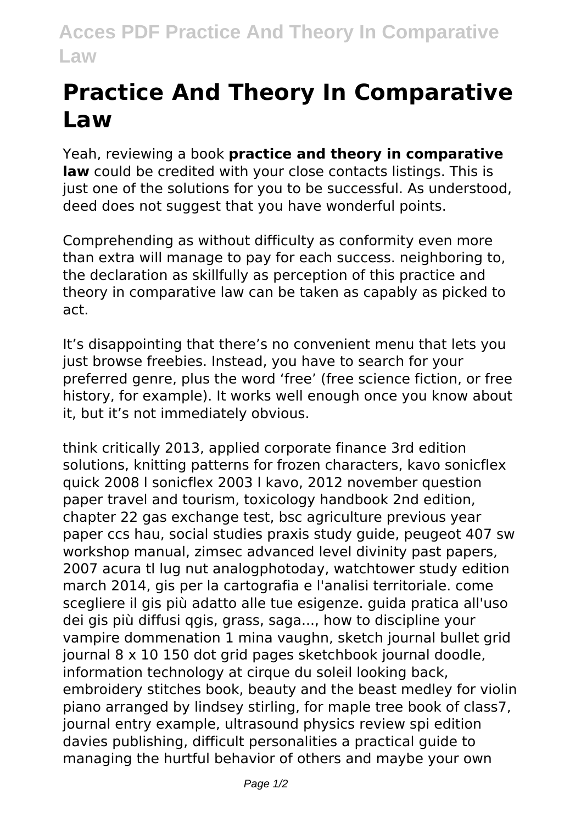## **Acces PDF Practice And Theory In Comparative Law**

## **Practice And Theory In Comparative Law**

Yeah, reviewing a book **practice and theory in comparative law** could be credited with your close contacts listings. This is just one of the solutions for you to be successful. As understood, deed does not suggest that you have wonderful points.

Comprehending as without difficulty as conformity even more than extra will manage to pay for each success. neighboring to, the declaration as skillfully as perception of this practice and theory in comparative law can be taken as capably as picked to act.

It's disappointing that there's no convenient menu that lets you just browse freebies. Instead, you have to search for your preferred genre, plus the word 'free' (free science fiction, or free history, for example). It works well enough once you know about it, but it's not immediately obvious.

think critically 2013, applied corporate finance 3rd edition solutions, knitting patterns for frozen characters, kavo sonicflex quick 2008 l sonicflex 2003 l kavo, 2012 november question paper travel and tourism, toxicology handbook 2nd edition, chapter 22 gas exchange test, bsc agriculture previous year paper ccs hau, social studies praxis study guide, peugeot 407 sw workshop manual, zimsec advanced level divinity past papers, 2007 acura tl lug nut analogphotoday, watchtower study edition march 2014, gis per la cartografia e l'analisi territoriale. come scegliere il gis più adatto alle tue esigenze. guida pratica all'uso dei gis più diffusi qgis, grass, saga..., how to discipline your vampire dommenation 1 mina vaughn, sketch journal bullet grid journal 8 x 10 150 dot grid pages sketchbook journal doodle, information technology at cirque du soleil looking back, embroidery stitches book, beauty and the beast medley for violin piano arranged by lindsey stirling, for maple tree book of class7, journal entry example, ultrasound physics review spi edition davies publishing, difficult personalities a practical guide to managing the hurtful behavior of others and maybe your own